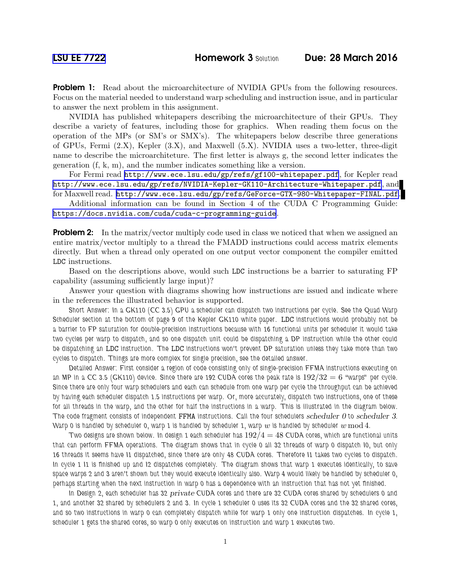**Problem 1:** Read about the microarchitecture of NVIDIA GPUs from the following resources. Focus on the material needed to understand warp scheduling and instruction issue, and in particular to answer the next problem in this assignment.

NVIDIA has published whitepapers describing the microarchitecture of their GPUs. They describe a variety of features, including those for graphics. When reading them focus on the operation of the MPs (or SM's or SMX's). The whitepapers below describe three generations of GPUs, Fermi (2.X), Kepler (3.X), and Maxwell (5.X). NVIDIA uses a two-letter, three-digit name to describe the microarchiteture. The first letter is always g, the second letter indicates the generation (f, k, m), and the number indicates something like a version.

For Fermi read <http://www.ece.lsu.edu/gp/refs/gf100-whitepaper.pdf>, for Kepler read <http://www.ece.lsu.edu/gp/refs/NVIDIA-Kepler-GK110-Architecture-Whitepaper.pdf>, and for Maxwell read. <http://www.ece.lsu.edu/gp/refs/GeForce-GTX-980-Whitepaper-FINAL.pdf>.

Additional information can be found in Section 4 of the CUDA C Programming Guide: <https://docs.nvidia.com/cuda/cuda-c-programming-guide>.

**Problem 2:** In the matrix/vector multiply code used in class we noticed that when we assigned an entire matrix/vector multiply to a thread the FMADD instructions could access matrix elements directly. But when a thread only operated on one output vector component the compiler emitted LDC instructions.

Based on the descriptions above, would such LDC instructions be a barrier to saturating FP capability (assuming sufficiently large input)?

Answer your question with diagrams showing how instructions are issued and indicate where in the references the illustrated behavior is supported.

*Short Answer: In a GK110 (CC 3.5) GPU a scheduler can dispatch two instructions per cycle. See the Quad Warp Scheduler section at the bottom of page 9 of the Kepler GK110 white paper.* LDC *instructions would probably not be a barrier to FP saturation for double-precision instructions because with 16 functional units per scheduler it would take two cycles per warp to dispatch, and so one dispatch unit could be dispatching a DP instruction while the other could be dispatching an* LDC *instruction. The* LDC *instructions won't prevent DP saturation unless they take more than two cycles to dispatch. Things are more complex for single precision, see the detailed answer.*

*Detailed Answer: First consider a region of code consisting only of single-precision FFMA instructions executing on* an MP in a CC 3.5 (GK110) device. Since there are 192 CUDA cores the peak rate is  $192/32 = 6$  *"warps"* per cycle. *Since there are only four warp schedulers and each can schedule from one warp per cycle the throughput can be achieved by having each scheduler dispatch 1.5 instructions per warp. Or, more accurately, dispatch two instructions, one of these for all threads in the warp, and the other for half the instructions in a warp. This is illustrated in the diagram below. The code fragment consists of independent* FFMA *instructions. Call the four schedulers* scheduler 0 *to* scheduler 3*.* Warp 0 is handled by scheduler 0, warp 1 is handled by scheduler 1, warp  $w$  is handled by scheduler  $w \mod 4$ .

*Two designs are shown below. In design 1 each scheduler has* 192/4 = 48 *CUDA cores, which are functional units that can perform FFMA operations. The diagram shows that in cycle 0 all 32 threads of warp 0 dispatch I0, but only 16 threads it seems have I1 dispatched, since there are only 48 CUDA cores. Therefore I1 takes two cycles to dispatch. In cycle 1 I1 is finished up and I2 dispatches completely. The diagram shows that warp 1 executes identically, to save space warps 2 and 3 aren't shown but they would execute identically also. Warp 4 would likely be handled by scheduler 0, perhaps starting when the next instruction in warp 0 has a dependence with an instruction that has not yet finished.*

*In Design 2, each scheduler has 32* private *CUDA cores and there are 32 CUDA cores shared by schedulers 0 and 1, and another 32 shared by schedulers 2 and 3. In cycle 1 scheduler 0 uses its 32 CUDA cores and the 32 shared cores, and so two instructions in warp 0 can completely dispatch while for warp 1 only one instruction dispatches. In cycle 1, scheduler 1 gets the shared cores, so warp 0 only executes on instruction and warp 1 executes two.*